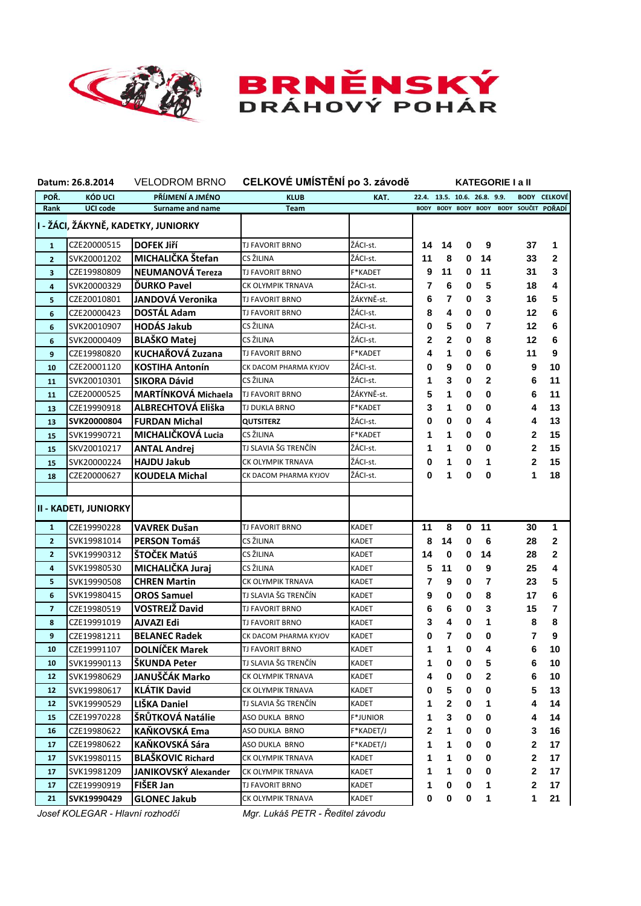



| Datum: 26.8.2014                    |                              |                            | VELODROM BRNO CELKOVÉ UMÍSTĚNÍ po 3. závodě |                 |                              | <b>KATEGORIE I a II</b> |           |                |  |              |                     |  |  |
|-------------------------------------|------------------------------|----------------------------|---------------------------------------------|-----------------|------------------------------|-------------------------|-----------|----------------|--|--------------|---------------------|--|--|
| POŘ.                                | KÓD UCI                      | PŘÍJMENÍ A JMÉNO           | <b>KLUB</b>                                 | KAT.            | 22.4. 13.5. 10.6. 26.8. 9.9. |                         |           |                |  |              | <b>BODY CELKOVÉ</b> |  |  |
| Rank                                | <b>UCI code</b>              | Surname and name           | Team                                        |                 | <b>BODY</b>                  |                         |           | BODY BODY BODY |  |              | BODY SOUČET POŘADÍ  |  |  |
| I - ŽÁCI, ŽÁKYNĚ, KADETKY, JUNIORKY |                              |                            |                                             |                 |                              |                         |           |                |  |              |                     |  |  |
| $\mathbf{1}$                        | CZE20000515                  | <b>DOFEK JIří</b>          | <b>TJ FAVORIT BRNO</b>                      | ŽÁCI-st.        | 14                           | 14                      | 0         | 9              |  | 37           | 1                   |  |  |
| $\overline{2}$                      | SVK20001202                  | MICHALIČKA Štefan          | CS ŽILINA                                   | ŽÁCI-st.        | 11                           | 8                       | 0         | 14             |  | 33           | $\mathbf{2}$        |  |  |
| 3                                   | CZE19980809                  | <b>NEUMANOVÁ Tereza</b>    | TJ FAVORIT BRNO                             | F*KADET         | 9                            | 11                      | 0         | 11             |  | 31           | 3                   |  |  |
| 4                                   | SVK20000329                  | <b>DURKO Pavel</b>         | CK OLYMPIK TRNAVA                           | ŽÁCI-st.        | 7                            | 6                       | 0         | 5              |  | 18           | 4                   |  |  |
| 5                                   | CZE20010801                  | JANDOVÁ Veronika           | <b>TJ FAVORIT BRNO</b>                      | ŽÁKYNĚ-st.      | 6                            | 7                       | 0         | 3              |  | 16           | 5                   |  |  |
| 6                                   | CZE20000423                  | <b>DOSTÁL Adam</b>         | TJ FAVORIT BRNO                             | ŽÁCI-st.        | 8                            | 4                       | 0         | 0              |  | 12           | 6                   |  |  |
| 6                                   | SVK20010907                  | <b>HODÁS Jakub</b>         | CS ŽILINA                                   | ŽÁCI-st.        | 0                            | 5                       | 0         | 7              |  | 12           | 6                   |  |  |
| 6                                   | SVK20000409                  | <b>BLAŠKO Matej</b>        | CS ŽILINA                                   | ŽÁCI-st.        | 2                            | $\mathbf 2$             | 0         | 8              |  | 12           | 6                   |  |  |
| 9                                   | CZE19980820                  | KUCHAŘOVÁ Zuzana           | TJ FAVORIT BRNO                             | F*KADET         | 4                            | 1                       | 0         | 6              |  | 11           | 9                   |  |  |
| 10                                  | CZE20001120                  | <b>KOSTIHA Antonín</b>     | CK DACOM PHARMA KYJOV                       | ŽÁCI-st.        | 0                            | 9                       | 0         | 0              |  | 9            | 10                  |  |  |
| 11                                  | SVK20010301                  | SIKORA Dávid               | CS ŽILINA                                   | ŽÁCI-st.        | 1                            | 3                       | $\bf{0}$  | $\mathbf{2}$   |  | 6            | 11                  |  |  |
| 11                                  | CZE20000525                  | <b>MARTÍNKOVÁ Michaela</b> | <b>TJ FAVORIT BRNO</b>                      | ŽÁKYNĚ-st.      | 5                            | 1                       | 0         | 0              |  | 6            | 11                  |  |  |
| 13                                  | CZE19990918                  | ALBRECHTOVÁ Eliška         | <b>TJ DUKLA BRNO</b>                        | <b>F*KADET</b>  | 3                            | 1                       | 0         | 0              |  | 4            | 13                  |  |  |
| 13                                  | SVK20000804                  | <b>FURDAN Michal</b>       | <b>QUTSITERZ</b>                            | ŽÁCI-st.        | 0                            | 0                       | 0         | 4              |  | 4            | 13                  |  |  |
| 15                                  | SVK19990721                  | MICHALIČKOVÁ Lucia         | CS ŽILINA                                   | F*KADET         | 1                            | 1                       | 0         | 0              |  | 2            | 15                  |  |  |
| 15                                  | SKV20010217                  | <b>ANTAL Andrei</b>        | TJ SLAVIA ŠG TRENČÍN                        | ŽÁCI-st.        | 1                            | 1                       | 0         | 0              |  | 2            | 15                  |  |  |
| 15                                  | SVK20000224                  | <b>HAJDU Jakub</b>         | CK OLYMPIK TRNAVA                           | ŽÁCI-st.        | 0                            | 1                       | 0         | 1              |  | 2            | 15                  |  |  |
| 18                                  | CZE20000627                  | <b>KOUDELA Michal</b>      | CK DACOM PHARMA KYJOV                       | ŽÁCI-st.        | 0                            | 1                       | 0         | 0              |  | 1            | 18                  |  |  |
|                                     |                              |                            |                                             |                 |                              |                         |           |                |  |              |                     |  |  |
|                                     | <b>II - KADETI, JUNIORKY</b> |                            |                                             |                 |                              |                         |           |                |  |              |                     |  |  |
| $\mathbf{1}$                        | CZE19990228                  | <b>VAVREK Dušan</b>        | TJ FAVORIT BRNO                             | <b>KADET</b>    | 11                           | 8                       | 0         | 11             |  | 30           | 1                   |  |  |
| $\overline{2}$                      | SVK19981014                  | <b>PERSON Tomáš</b>        | CS ŽILINA                                   | KADET           | 8                            | 14                      | 0         | 6              |  | 28           | $\mathbf{2}$        |  |  |
| $\overline{2}$                      | SVK19990312                  | ŠTOČEK Matúš               | CS ŽILINA                                   | KADET           | 14                           | 0                       | 0         | 14             |  | 28           | $\mathbf 2$         |  |  |
| 4                                   | SVK19980530                  | MICHALIČKA Juraj           | CS ŽILINA                                   | KADET           | 5                            | 11                      | 0         | 9              |  | 25           | 4                   |  |  |
| 5                                   | SVK19990508                  | <b>CHREN Martin</b>        | CK OLYMPIK TRNAVA                           | KADET           | 7                            | 9                       | 0         | 7              |  | 23           | 5                   |  |  |
| 6                                   | SVK19980415                  | <b>OROS Samuel</b>         | TJ SLAVIA ŠG TRENČÍN                        | <b>KADET</b>    | 9                            | 0                       | 0         | 8              |  | 17           | 6                   |  |  |
| $\overline{\mathbf{z}}$             | CZE19980519                  | <b>VOSTREJŽ David</b>      | TJ FAVORIT BRNO                             | <b>KADET</b>    | 6                            | 6                       | 0         | 3              |  | 15           | 7                   |  |  |
| 8                                   | CZE19991019                  | <b>AJVAZI Edi</b>          | TJ FAVORIT BRNO                             | <b>KADET</b>    | 3                            | 4                       | 0         | 1              |  | 8            | 8                   |  |  |
| 9                                   | CZE19981211                  | <b>BELANEC Radek</b>       | CK DACOM PHARMA KYJOV                       | KADET           | 0                            | 7                       | 0         | 0              |  | 7            | 9                   |  |  |
| 10                                  | CZE19991107                  | <b>DOLNÍČEK Marek</b>      | <b>TJ FAVORIT BRNO</b>                      | <b>KADET</b>    | 1                            | 1                       | 0         | 4              |  | 6            | 10                  |  |  |
| 10                                  | SVK19990113                  | ŠKUNDA Peter               | TJ SLAVIA ŠG TRENČÍN                        | KADET           | 1                            | 0                       | 0         | 5              |  | 6            | 10                  |  |  |
| 12                                  | SVK19980629                  | JANUŠČÁK Marko             | CK OLYMPIK TRNAVA                           | KADET           | 4                            | 0                       | 0         | 2              |  | 6            | 10                  |  |  |
| 12                                  | SVK19980617                  | <b>KLÁTIK David</b>        | CK OLYMPIK TRNAVA                           | KADET           | 0                            | 5                       | 0         | 0              |  | 5            | 13                  |  |  |
| 12                                  | SVK19990529                  | LIŠKA Daniel               | TJ SLAVIA ŠG TRENČÍN                        | KADET           | 1                            | 2                       | 0         | 1              |  | 4            | 14                  |  |  |
| 15                                  | CZE19970228                  | ŠRŮTKOVÁ Natálie           | ASO DUKLA BRNO                              | <b>F*JUNIOR</b> | 1                            | 3                       | 0         | 0              |  | 4            | 14                  |  |  |
| 16                                  | CZE19980622                  | KAŇKOVSKÁ Ema              | ASO DUKLA BRNO                              | F*KADET/J       | 2                            | 1                       | 0         | 0              |  | 3            | 16                  |  |  |
| 17                                  | CZE19980622                  | KAŇKOVSKÁ Sára             | ASO DUKLA BRNO                              | F*KADET/J       | 1                            | 1                       | 0         | 0              |  | 2            | 17                  |  |  |
| 17                                  | SVK19980115                  | <b>BLAŠKOVIC Richard</b>   | CK OLYMPIK TRNAVA                           | KADET           | 1                            | 1                       | 0         | 0              |  | $\mathbf{2}$ | 17                  |  |  |
| 17                                  | SVK19981209                  | JANIKOVSKÝ Alexander       | CK OLYMPIK TRNAVA                           | KADET           | 1                            | 1                       | 0         | 0              |  | $\mathbf{2}$ | 17                  |  |  |
| 17                                  | CZE19990919                  | FIŠER Jan                  | TJ FAVORIT BRNO                             | KADET           | 1                            | 0                       | 0         | $\mathbf{1}$   |  | $\mathbf{2}$ | 17                  |  |  |
| 21                                  | SVK19990429                  | <b>GLONEC Jakub</b>        | CK OLYMPIK TRNAVA                           | KADET           | 0                            | 0                       | $\pmb{0}$ | 1              |  | 1            | 21                  |  |  |

*Josef KOLEGAR - Hlavní rozhodčí Mgr. Lukáš PETR - Ředitel závodu*